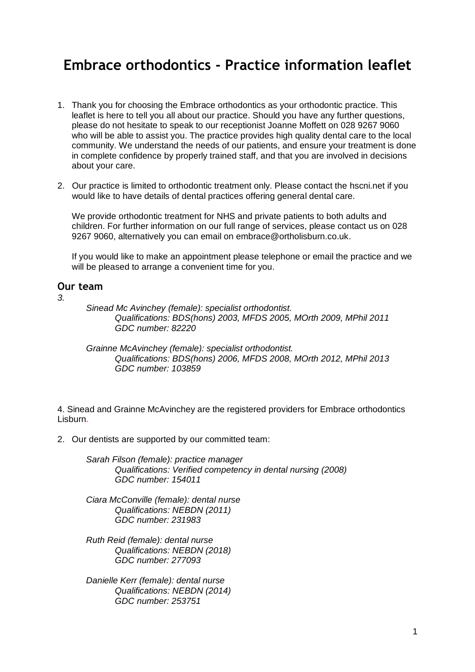# **Embrace orthodontics - Practice information leaflet**

- 1. Thank you for choosing the Embrace orthodontics as your orthodontic practice. This leaflet is here to tell you all about our practice. Should you have any further questions, please do not hesitate to speak to our receptionist Joanne Moffett on 028 9267 9060 who will be able to assist you. The practice provides high quality dental care to the local community. We understand the needs of our patients, and ensure your treatment is done in complete confidence by properly trained staff, and that you are involved in decisions about your care.
- 2. Our practice is limited to orthodontic treatment only. Please contact the hscni.net if you would like to have details of dental practices offering general dental care.

We provide orthodontic treatment for NHS and private patients to both adults and children. For further information on our full range of services, please contact us on 028 9267 9060, alternatively you can email on embrace@ortholisburn.co.uk.

If you would like to make an appointment please telephone or email the practice and we will be pleased to arrange a convenient time for you.

#### **Our team**

*3.* 

*Sinead Mc Avinchey (female): specialist orthodontist. Qualifications: BDS(hons) 2003, MFDS 2005, MOrth 2009, MPhil 2011 GDC number: 82220*

*Grainne McAvinchey (female): specialist orthodontist. Qualifications: BDS(hons) 2006, MFDS 2008, MOrth 2012, MPhil 2013 GDC number: 103859*

4. Sinead and Grainne McAvinchey are the registered providers for Embrace orthodontics Lisburn*.*

2. Our dentists are supported by our committed team:

*Sarah Filson (female): practice manager Qualifications: Verified competency in dental nursing (2008) GDC number: 154011*

- *Ciara McConville (female): dental nurse Qualifications: NEBDN (2011) GDC number: 231983*
- *Ruth Reid (female): dental nurse Qualifications: NEBDN (2018) GDC number: 277093*
- *Danielle Kerr (female): dental nurse Qualifications: NEBDN (2014) GDC number: 253751*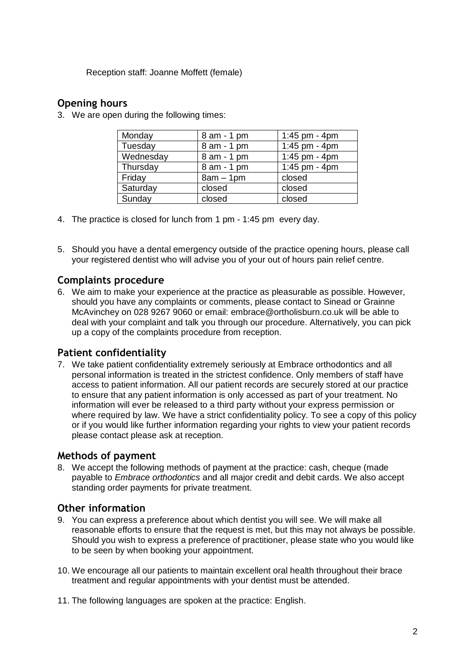Reception staff: Joanne Moffett (female)

### **Opening hours**

3. We are open during the following times:

| Monday    | 8 am - 1 pm | 1:45 pm - 4pm |
|-----------|-------------|---------------|
| Tuesday   | 8 am - 1 pm | 1:45 pm - 4pm |
| Wednesday | 8 am - 1 pm | 1:45 pm - 4pm |
| Thursday  | 8 am - 1 pm | 1:45 pm - 4pm |
| Friday    | $8am - 1pm$ | closed        |
| Saturday  | closed      | closed        |
| Sunday    | closed      | closed        |

- 4. The practice is closed for lunch from 1 pm 1:45 pm every day.
- 5. Should you have a dental emergency outside of the practice opening hours, please call your registered dentist who will advise you of your out of hours pain relief centre.

## **Complaints procedure**

6. We aim to make your experience at the practice as pleasurable as possible. However, should you have any complaints or comments, please contact to Sinead or Grainne McAvinchey on 028 9267 9060 or email: embrace@ortholisburn.co.uk will be able to deal with your complaint and talk you through our procedure. Alternatively, you can pick up a copy of the complaints procedure from reception.

## **Patient confidentiality**

7. We take patient confidentiality extremely seriously at Embrace orthodontics and all personal information is treated in the strictest confidence. Only members of staff have access to patient information. All our patient records are securely stored at our practice to ensure that any patient information is only accessed as part of your treatment. No information will ever be released to a third party without your express permission or where required by law. We have a strict confidentiality policy. To see a copy of this policy or if you would like further information regarding your rights to view your patient records please contact please ask at reception.

### **Methods of payment**

8. We accept the following methods of payment at the practice: cash, cheque (made payable to *Embrace orthodontics* and all major credit and debit cards. We also accept standing order payments for private treatment.

### **Other information**

- 9. You can express a preference about which dentist you will see. We will make all reasonable efforts to ensure that the request is met, but this may not always be possible. Should you wish to express a preference of practitioner, please state who you would like to be seen by when booking your appointment.
- 10. We encourage all our patients to maintain excellent oral health throughout their brace treatment and regular appointments with your dentist must be attended.
- 11. The following languages are spoken at the practice: English.